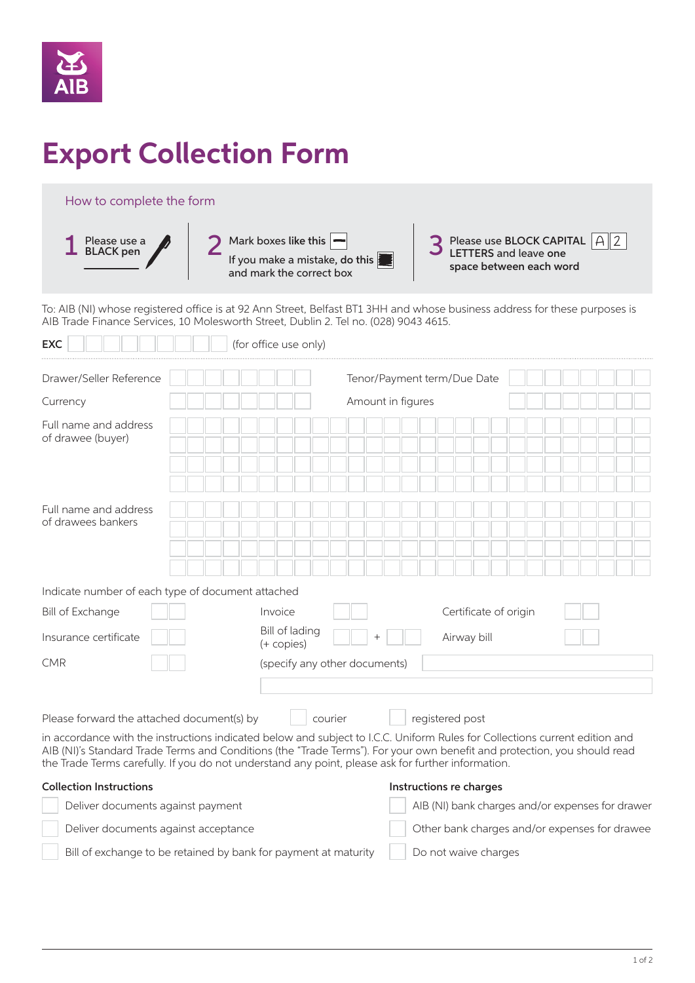

# **Export Collection Form**

# How to complete the form

 $\overline{a}$ 



To: AIB (NI) whose registered office is at 92 Ann Street, Belfast BT1 3HH and whose business address for these purposes is AIB Trade Finance Services, 10 Molesworth Street, Dublin 2. Tel no. (028) 9043 4615.

| Drawer/Seller Reference                           |                                     | Tenor/Payment term/Due Date   |                       |  |
|---------------------------------------------------|-------------------------------------|-------------------------------|-----------------------|--|
| Currency                                          |                                     | Amount in figures             |                       |  |
| Full name and address<br>of drawee (buyer)        |                                     |                               |                       |  |
| Full name and address<br>of drawees bankers       |                                     |                               |                       |  |
|                                                   |                                     |                               |                       |  |
| Indicate number of each type of document attached |                                     |                               |                       |  |
| <b>Bill of Exchange</b>                           | Invoice                             |                               | Certificate of origin |  |
| Insurance certificate                             | <b>Bill of lading</b><br>(+ copies) |                               | Airway bill           |  |
| <b>CMR</b>                                        |                                     | (specify any other documents) |                       |  |
| Please forward the attached document(s) by        | courier                             |                               | registered post       |  |

in accordance with the instructions indicated below and subject to I.C.C. Uniform Rules for Collections current edition and AIB (NI)'s Standard Trade Terms and Conditions (the "Trade Terms"). For your own benefit and protection, you should read the Trade Terms carefully. If you do not understand any point, please ask for further information.

### Collection Instructions and Instructions re charges

| Deliver documents against payment                               | AIB (NI) bank charges and/or expenses for drawer |
|-----------------------------------------------------------------|--------------------------------------------------|
| Deliver documents against acceptance                            | Other bank charges and/or expenses for drawee    |
| Bill of exchange to be retained by bank for payment at maturity | Do not waive charges                             |